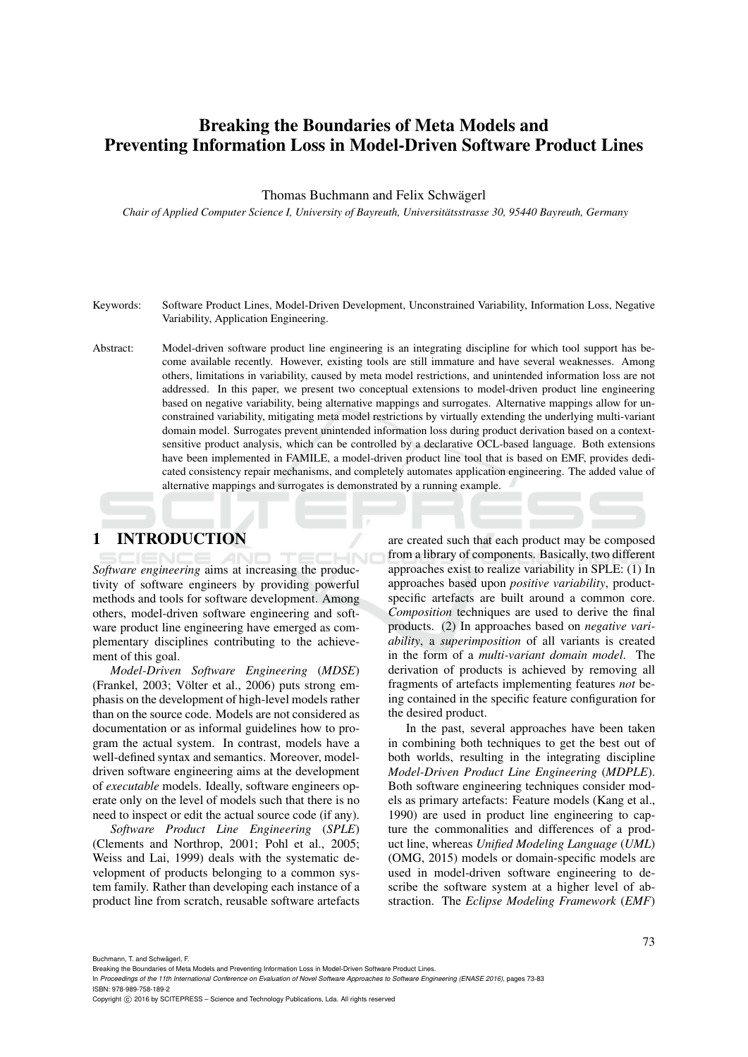# Breaking the Boundaries of Meta Models and Preventing Information Loss in Model-Driven Software Product Lines

#### Thomas Buchmann and Felix Schwägerl

*Chair of Applied Computer Science I, University of Bayreuth, Universitatsstrasse 30, 95440 Bayreuth, Germany ¨*

- Keywords: Software Product Lines, Model-Driven Development, Unconstrained Variability, Information Loss, Negative Variability, Application Engineering.
- Abstract: Model-driven software product line engineering is an integrating discipline for which tool support has become available recently. However, existing tools are still immature and have several weaknesses. Among others, limitations in variability, caused by meta model restrictions, and unintended information loss are not addressed. In this paper, we present two conceptual extensions to model-driven product line engineering based on negative variability, being alternative mappings and surrogates. Alternative mappings allow for unconstrained variability, mitigating meta model restrictions by virtually extending the underlying multi-variant domain model. Surrogates prevent unintended information loss during product derivation based on a contextsensitive product analysis, which can be controlled by a declarative OCL-based language. Both extensions have been implemented in FAMILE, a model-driven product line tool that is based on EMF, provides dedicated consistency repair mechanisms, and completely automates application engineering. The added value of alternative mappings and surrogates is demonstrated by a running example.

# 1 INTRODUCTION

*Software engineering* aims at increasing the productivity of software engineers by providing powerful methods and tools for software development. Among others, model-driven software engineering and software product line engineering have emerged as complementary disciplines contributing to the achievement of this goal.

*Model-Driven Software Engineering* (*MDSE*) (Frankel, 2003; Völter et al., 2006) puts strong emphasis on the development of high-level models rather than on the source code. Models are not considered as documentation or as informal guidelines how to program the actual system. In contrast, models have a well-defined syntax and semantics. Moreover, modeldriven software engineering aims at the development of *executable* models. Ideally, software engineers operate only on the level of models such that there is no need to inspect or edit the actual source code (if any).

*Software Product Line Engineering* (*SPLE*) (Clements and Northrop, 2001; Pohl et al., 2005; Weiss and Lai, 1999) deals with the systematic development of products belonging to a common system family. Rather than developing each instance of a product line from scratch, reusable software artefacts are created such that each product may be composed from a library of components. Basically, two different approaches exist to realize variability in SPLE: (1) In approaches based upon *positive variability*, productspecific artefacts are built around a common core. *Composition* techniques are used to derive the final products. (2) In approaches based on *negative variability*, a *superimposition* of all variants is created in the form of a *multi-variant domain model*. The derivation of products is achieved by removing all fragments of artefacts implementing features *not* being contained in the specific feature configuration for the desired product.

In the past, several approaches have been taken in combining both techniques to get the best out of both worlds, resulting in the integrating discipline *Model-Driven Product Line Engineering* (*MDPLE*). Both software engineering techniques consider models as primary artefacts: Feature models (Kang et al., 1990) are used in product line engineering to capture the commonalities and differences of a product line, whereas *Unified Modeling Language* (*UML*) (OMG, 2015) models or domain-specific models are used in model-driven software engineering to describe the software system at a higher level of abstraction. The *Eclipse Modeling Framework* (*EMF*)

Buchmann, T. and Schwägerl, F.

In *Proceedings of the 11th International Conference on Evaluation of Novel Software Approaches to Software Engineering (ENASE 2016)*, pages 73-83 ISBN: 978-989-758-189-2

Copyright C 2016 by SCITEPRESS - Science and Technology Publications, Lda. All rights reserved

Breaking the Boundaries of Meta Models and Preventing Information Loss in Model-Driven Software Product Lines.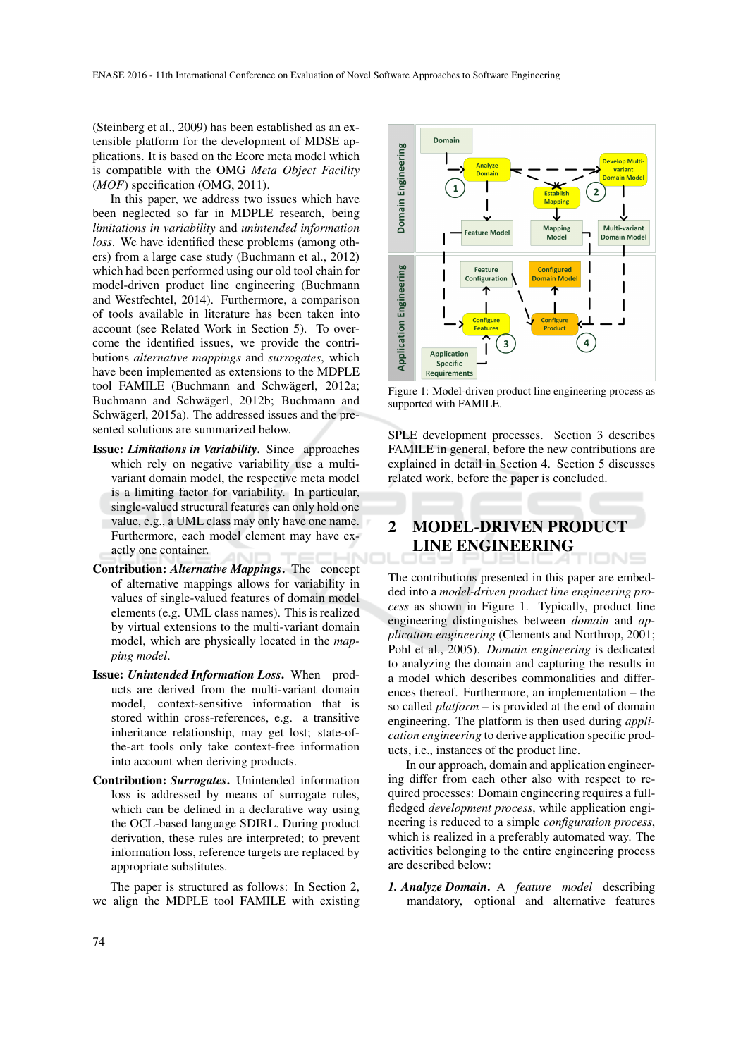(Steinberg et al., 2009) has been established as an extensible platform for the development of MDSE applications. It is based on the Ecore meta model which is compatible with the OMG *Meta Object Facility* (*MOF*) specification (OMG, 2011).

In this paper, we address two issues which have been neglected so far in MDPLE research, being *limitations in variability* and *unintended information loss*. We have identified these problems (among others) from a large case study (Buchmann et al., 2012) which had been performed using our old tool chain for model-driven product line engineering (Buchmann and Westfechtel, 2014). Furthermore, a comparison of tools available in literature has been taken into account (see Related Work in Section 5). To overcome the identified issues, we provide the contributions *alternative mappings* and *surrogates*, which have been implemented as extensions to the MDPLE tool FAMILE (Buchmann and Schwägerl, 2012a; Buchmann and Schwägerl, 2012b; Buchmann and Schwägerl, 2015a). The addressed issues and the presented solutions are summarized below.

- Issue: *Limitations in Variability*. Since approaches which rely on negative variability use a multivariant domain model, the respective meta model is a limiting factor for variability. In particular, single-valued structural features can only hold one value, e.g., a UML class may only have one name. Furthermore, each model element may have exactly one container.
- Contribution: *Alternative Mappings*. The concept of alternative mappings allows for variability in values of single-valued features of domain model elements (e.g. UML class names). This is realized by virtual extensions to the multi-variant domain model, which are physically located in the *mapping model*.
- Issue: *Unintended Information Loss*. When products are derived from the multi-variant domain model, context-sensitive information that is stored within cross-references, e.g. a transitive inheritance relationship, may get lost; state-ofthe-art tools only take context-free information into account when deriving products.
- Contribution: *Surrogates*. Unintended information loss is addressed by means of surrogate rules, which can be defined in a declarative way using the OCL-based language SDIRL. During product derivation, these rules are interpreted; to prevent information loss, reference targets are replaced by appropriate substitutes.

The paper is structured as follows: In Section 2, we align the MDPLE tool FAMILE with existing



Figure 1: Model-driven product line engineering process as supported with FAMILE.

SPLE development processes. Section 3 describes FAMILE in general, before the new contributions are explained in detail in Section 4. Section 5 discusses related work, before the paper is concluded.

# 2 MODEL-DRIVEN PRODUCT LINE ENGINEERING

The contributions presented in this paper are embedded into a *model-driven product line engineering process* as shown in Figure 1. Typically, product line engineering distinguishes between *domain* and *application engineering* (Clements and Northrop, 2001; Pohl et al., 2005). *Domain engineering* is dedicated to analyzing the domain and capturing the results in a model which describes commonalities and differences thereof. Furthermore, an implementation – the so called *platform* – is provided at the end of domain engineering. The platform is then used during *application engineering* to derive application specific products, i.e., instances of the product line.

In our approach, domain and application engineering differ from each other also with respect to required processes: Domain engineering requires a fullfledged *development process*, while application engineering is reduced to a simple *configuration process*, which is realized in a preferably automated way. The activities belonging to the entire engineering process are described below:

*1. Analyze Domain*. A *feature model* describing mandatory, optional and alternative features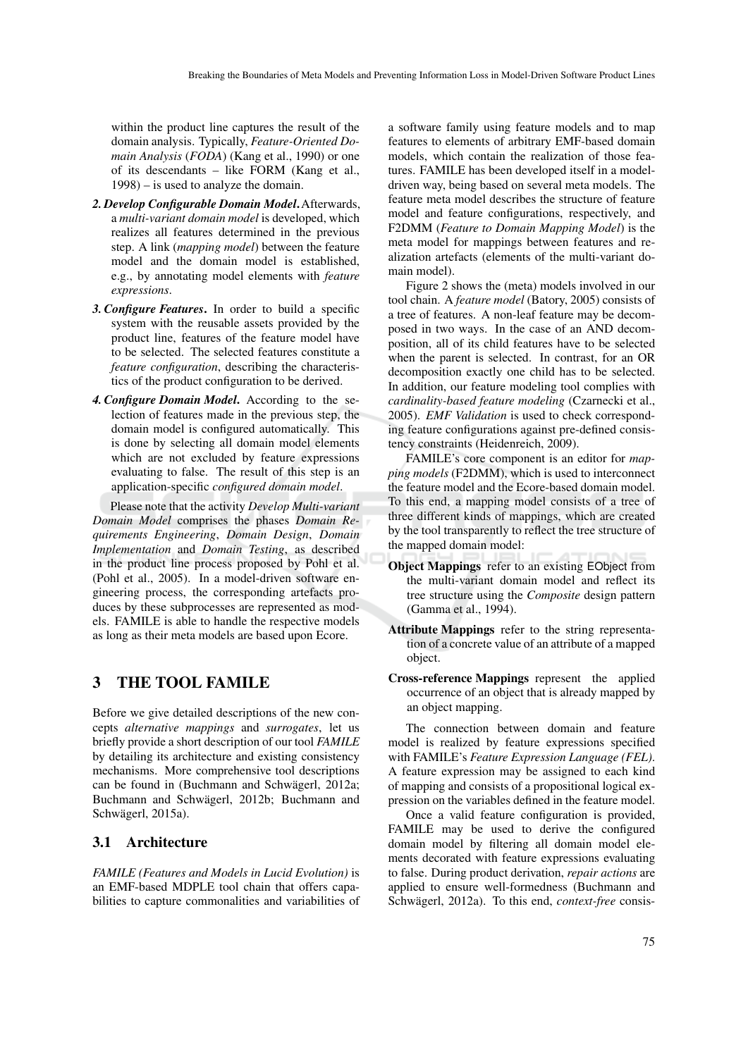within the product line captures the result of the domain analysis. Typically, *Feature-Oriented Domain Analysis* (*FODA*) (Kang et al., 1990) or one of its descendants – like FORM (Kang et al., 1998) – is used to analyze the domain.

- *2. Develop Configurable Domain Model*.Afterwards, a *multi-variant domain model* is developed, which realizes all features determined in the previous step. A link (*mapping model*) between the feature model and the domain model is established, e.g., by annotating model elements with *feature expressions*.
- *3. Configure Features*. In order to build a specific system with the reusable assets provided by the product line, features of the feature model have to be selected. The selected features constitute a *feature configuration*, describing the characteristics of the product configuration to be derived.
- *4. Configure Domain Model*. According to the selection of features made in the previous step, the domain model is configured automatically. This is done by selecting all domain model elements which are not excluded by feature expressions evaluating to false. The result of this step is an application-specific *configured domain model*.

Please note that the activity *Develop Multi-variant Domain Model* comprises the phases *Domain Requirements Engineering*, *Domain Design*, *Domain Implementation* and *Domain Testing*, as described in the product line process proposed by Pohl et al. (Pohl et al., 2005). In a model-driven software engineering process, the corresponding artefacts produces by these subprocesses are represented as models. FAMILE is able to handle the respective models as long as their meta models are based upon Ecore.

# 3 THE TOOL FAMILE

Before we give detailed descriptions of the new concepts *alternative mappings* and *surrogates*, let us briefly provide a short description of our tool *FAMILE* by detailing its architecture and existing consistency mechanisms. More comprehensive tool descriptions can be found in (Buchmann and Schwägerl, 2012a; Buchmann and Schwägerl, 2012b; Buchmann and Schwägerl, 2015a).

## 3.1 Architecture

*FAMILE (Features and Models in Lucid Evolution)* is an EMF-based MDPLE tool chain that offers capabilities to capture commonalities and variabilities of

a software family using feature models and to map features to elements of arbitrary EMF-based domain models, which contain the realization of those features. FAMILE has been developed itself in a modeldriven way, being based on several meta models. The feature meta model describes the structure of feature model and feature configurations, respectively, and F2DMM (*Feature to Domain Mapping Model*) is the meta model for mappings between features and realization artefacts (elements of the multi-variant domain model).

Figure 2 shows the (meta) models involved in our tool chain. A *feature model* (Batory, 2005) consists of a tree of features. A non-leaf feature may be decomposed in two ways. In the case of an AND decomposition, all of its child features have to be selected when the parent is selected. In contrast, for an OR decomposition exactly one child has to be selected. In addition, our feature modeling tool complies with *cardinality-based feature modeling* (Czarnecki et al., 2005). *EMF Validation* is used to check corresponding feature configurations against pre-defined consistency constraints (Heidenreich, 2009).

FAMILE's core component is an editor for *mapping models* (F2DMM), which is used to interconnect the feature model and the Ecore-based domain model. To this end, a mapping model consists of a tree of three different kinds of mappings, which are created by the tool transparently to reflect the tree structure of the mapped domain model:

- Object Mappings refer to an existing EObject from the multi-variant domain model and reflect its tree structure using the *Composite* design pattern (Gamma et al., 1994).
- Attribute Mappings refer to the string representation of a concrete value of an attribute of a mapped object.
- Cross-reference Mappings represent the applied occurrence of an object that is already mapped by an object mapping.

The connection between domain and feature model is realized by feature expressions specified with FAMILE's *Feature Expression Language (FEL)*. A feature expression may be assigned to each kind of mapping and consists of a propositional logical expression on the variables defined in the feature model.

Once a valid feature configuration is provided, FAMILE may be used to derive the configured domain model by filtering all domain model elements decorated with feature expressions evaluating to false. During product derivation, *repair actions* are applied to ensure well-formedness (Buchmann and Schwägerl, 2012a). To this end, *context-free* consis-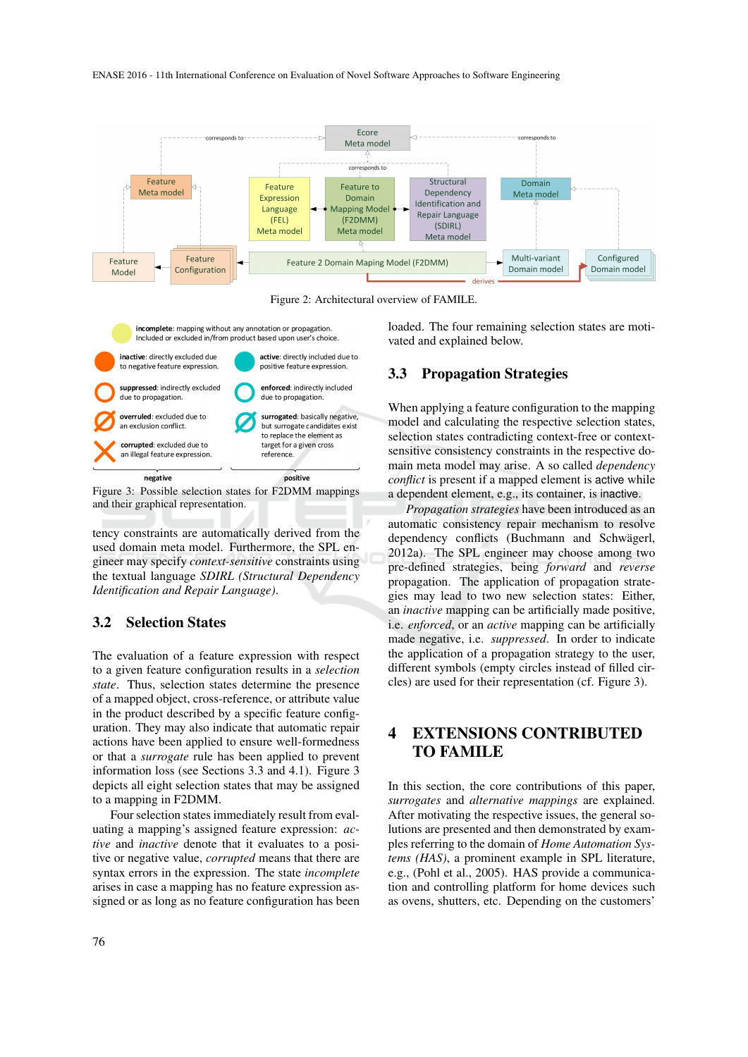

Figure 2: Architectural overview of FAMILE.



Figure 3: Possible selection states for F2DMM mappings and their graphical representation.

tency constraints are automatically derived from the used domain meta model. Furthermore, the SPL engineer may specify *context-sensitive* constraints using the textual language *SDIRL (Structural Dependency Identification and Repair Language)*.

### 3.2 Selection States

The evaluation of a feature expression with respect to a given feature configuration results in a *selection state*. Thus, selection states determine the presence of a mapped object, cross-reference, or attribute value in the product described by a specific feature configuration. They may also indicate that automatic repair actions have been applied to ensure well-formedness or that a *surrogate* rule has been applied to prevent information loss (see Sections 3.3 and 4.1). Figure 3 depicts all eight selection states that may be assigned to a mapping in F2DMM.

Four selection states immediately result from evaluating a mapping's assigned feature expression: *active* and *inactive* denote that it evaluates to a positive or negative value, *corrupted* means that there are syntax errors in the expression. The state *incomplete* arises in case a mapping has no feature expression assigned or as long as no feature configuration has been loaded. The four remaining selection states are motivated and explained below.

## 3.3 Propagation Strategies

When applying a feature configuration to the mapping model and calculating the respective selection states, selection states contradicting context-free or contextsensitive consistency constraints in the respective domain meta model may arise. A so called *dependency conflict* is present if a mapped element is active while a dependent element, e.g., its container, is inactive.

*Propagation strategies* have been introduced as an automatic consistency repair mechanism to resolve dependency conflicts (Buchmann and Schwägerl, 2012a). The SPL engineer may choose among two pre-defined strategies, being *forward* and *reverse* propagation. The application of propagation strategies may lead to two new selection states: Either, an *inactive* mapping can be artificially made positive, i.e. *enforced*, or an *active* mapping can be artificially made negative, i.e. *suppressed*. In order to indicate the application of a propagation strategy to the user, different symbols (empty circles instead of filled circles) are used for their representation (cf. Figure 3).

# 4 EXTENSIONS CONTRIBUTED TO FAMILE

In this section, the core contributions of this paper, *surrogates* and *alternative mappings* are explained. After motivating the respective issues, the general solutions are presented and then demonstrated by examples referring to the domain of *Home Automation Systems (HAS)*, a prominent example in SPL literature, e.g., (Pohl et al., 2005). HAS provide a communication and controlling platform for home devices such as ovens, shutters, etc. Depending on the customers'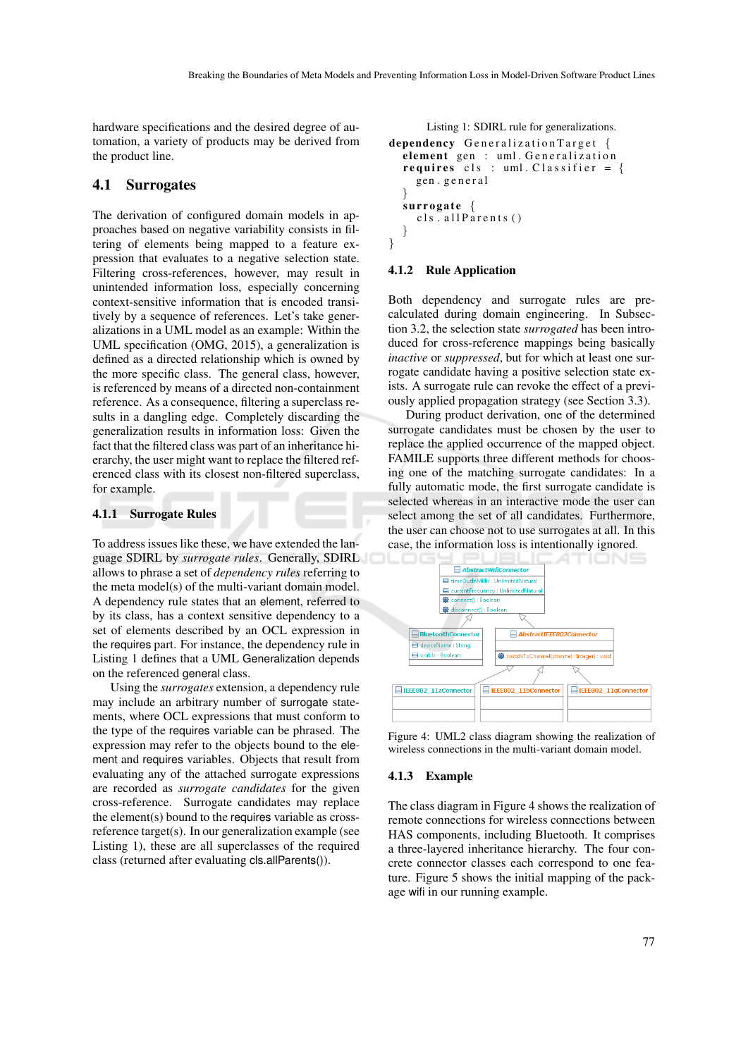} }

hardware specifications and the desired degree of automation, a variety of products may be derived from the product line.

### 4.1 Surrogates

The derivation of configured domain models in approaches based on negative variability consists in filtering of elements being mapped to a feature expression that evaluates to a negative selection state. Filtering cross-references, however, may result in unintended information loss, especially concerning context-sensitive information that is encoded transitively by a sequence of references. Let's take generalizations in a UML model as an example: Within the UML specification (OMG, 2015), a generalization is defined as a directed relationship which is owned by the more specific class. The general class, however, is referenced by means of a directed non-containment reference. As a consequence, filtering a superclass results in a dangling edge. Completely discarding the generalization results in information loss: Given the fact that the filtered class was part of an inheritance hierarchy, the user might want to replace the filtered referenced class with its closest non-filtered superclass, for example.

#### 4.1.1 Surrogate Rules

To address issues like these, we have extended the language SDIRL by *surrogate rules*. Generally, SDIRL allows to phrase a set of *dependency rules* referring to the meta model(s) of the multi-variant domain model. A dependency rule states that an element, referred to by its class, has a context sensitive dependency to a set of elements described by an OCL expression in the requires part. For instance, the dependency rule in Listing 1 defines that a UML Generalization depends on the referenced general class.

Using the *surrogates* extension, a dependency rule may include an arbitrary number of surrogate statements, where OCL expressions that must conform to the type of the requires variable can be phrased. The expression may refer to the objects bound to the element and requires variables. Objects that result from evaluating any of the attached surrogate expressions are recorded as *surrogate candidates* for the given cross-reference. Surrogate candidates may replace the element(s) bound to the requires variable as crossreference target(s). In our generalization example (see Listing 1), these are all superclasses of the required class (returned after evaluating cls.allParents()).

```
dependency Generalization Target {
element gen : uml. Generalization
requires cls : uml. Classifier = {
  gen . g e n e r a l
}<br>surrogate {
  cls. all Parents ()
```
Listing 1: SDIRL rule for generalizations.

#### 4.1.2 Rule Application

Both dependency and surrogate rules are precalculated during domain engineering. In Subsection 3.2, the selection state *surrogated* has been introduced for cross-reference mappings being basically *inactive* or *suppressed*, but for which at least one surrogate candidate having a positive selection state exists. A surrogate rule can revoke the effect of a previously applied propagation strategy (see Section 3.3).

During product derivation, one of the determined surrogate candidates must be chosen by the user to replace the applied occurrence of the mapped object. FAMILE supports three different methods for choosing one of the matching surrogate candidates: In a fully automatic mode, the first surrogate candidate is selected whereas in an interactive mode the user can select among the set of all candidates. Furthermore, the user can choose not to use surrogates at all. In this case, the information loss is intentionally ignored.



Figure 4: UML2 class diagram showing the realization of wireless connections in the multi-variant domain model.

#### 4.1.3 Example

The class diagram in Figure 4 shows the realization of remote connections for wireless connections between HAS components, including Bluetooth. It comprises a three-layered inheritance hierarchy. The four concrete connector classes each correspond to one feature. Figure 5 shows the initial mapping of the package wifi in our running example.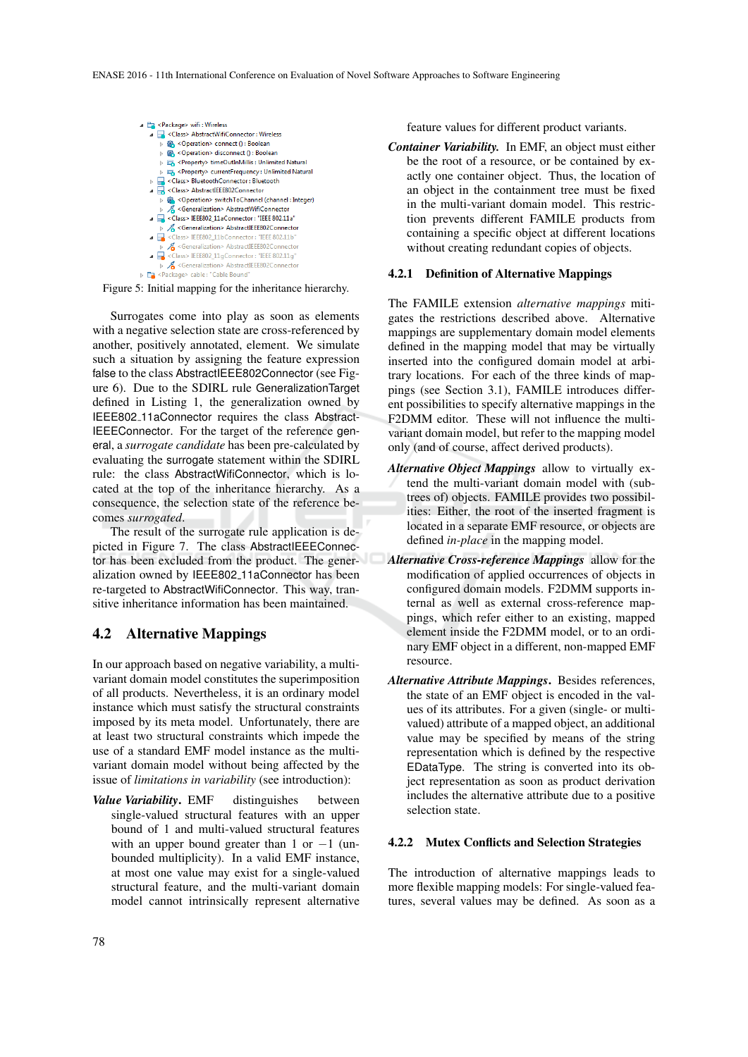

Figure 5: Initial mapping for the inheritance hierarchy.

Surrogates come into play as soon as elements with a negative selection state are cross-referenced by another, positively annotated, element. We simulate such a situation by assigning the feature expression false to the class AbstractIEEE802Connector (see Figure 6). Due to the SDIRL rule GeneralizationTarget defined in Listing 1, the generalization owned by IEEE802 11aConnector requires the class Abstract-IEEEConnector. For the target of the reference general, a *surrogate candidate* has been pre-calculated by evaluating the surrogate statement within the SDIRL rule: the class AbstractWifiConnector, which is located at the top of the inheritance hierarchy. As a consequence, the selection state of the reference becomes *surrogated*.

The result of the surrogate rule application is depicted in Figure 7. The class AbstractIEEEConnector has been excluded from the product. The generalization owned by IEEE802 11aConnector has been re-targeted to AbstractWifiConnector. This way, transitive inheritance information has been maintained.

## 4.2 Alternative Mappings

In our approach based on negative variability, a multivariant domain model constitutes the superimposition of all products. Nevertheless, it is an ordinary model instance which must satisfy the structural constraints imposed by its meta model. Unfortunately, there are at least two structural constraints which impede the use of a standard EMF model instance as the multivariant domain model without being affected by the issue of *limitations in variability* (see introduction):

*Value Variability*. EMF distinguishes between single-valued structural features with an upper bound of 1 and multi-valued structural features with an upper bound greater than 1 or  $-1$  (unbounded multiplicity). In a valid EMF instance, at most one value may exist for a single-valued structural feature, and the multi-variant domain model cannot intrinsically represent alternative

feature values for different product variants.

*Container Variability.* In EMF, an object must either be the root of a resource, or be contained by exactly one container object. Thus, the location of an object in the containment tree must be fixed in the multi-variant domain model. This restriction prevents different FAMILE products from containing a specific object at different locations without creating redundant copies of objects.

#### 4.2.1 Definition of Alternative Mappings

The FAMILE extension *alternative mappings* mitigates the restrictions described above. Alternative mappings are supplementary domain model elements defined in the mapping model that may be virtually inserted into the configured domain model at arbitrary locations. For each of the three kinds of mappings (see Section 3.1), FAMILE introduces different possibilities to specify alternative mappings in the F2DMM editor. These will not influence the multivariant domain model, but refer to the mapping model only (and of course, affect derived products).

- *Alternative Object Mappings* allow to virtually extend the multi-variant domain model with (subtrees of) objects. FAMILE provides two possibilities: Either, the root of the inserted fragment is located in a separate EMF resource, or objects are defined *in-place* in the mapping model.
- *Alternative Cross-reference Mappings* allow for the modification of applied occurrences of objects in configured domain models. F2DMM supports internal as well as external cross-reference mappings, which refer either to an existing, mapped element inside the F2DMM model, or to an ordinary EMF object in a different, non-mapped EMF resource.
- *Alternative Attribute Mappings*. Besides references, the state of an EMF object is encoded in the values of its attributes. For a given (single- or multivalued) attribute of a mapped object, an additional value may be specified by means of the string representation which is defined by the respective EDataType. The string is converted into its object representation as soon as product derivation includes the alternative attribute due to a positive selection state.

#### 4.2.2 Mutex Conflicts and Selection Strategies

The introduction of alternative mappings leads to more flexible mapping models: For single-valued features, several values may be defined. As soon as a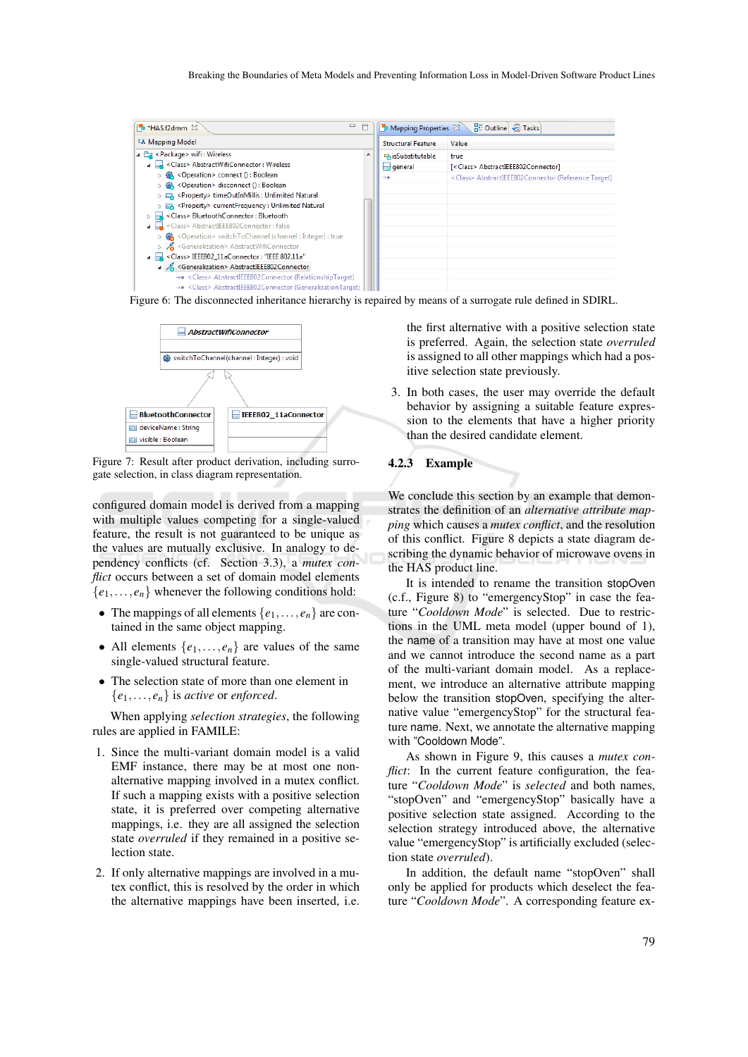

Figure 6: The disconnected inheritance hierarchy is repaired by means of a surrogate rule defined in SDIRL.



Figure 7: Result after product derivation, including surrogate selection, in class diagram representation.

configured domain model is derived from a mapping with multiple values competing for a single-valued feature, the result is not guaranteed to be unique as the values are mutually exclusive. In analogy to dependency conflicts (cf. Section 3.3), a *mutex conflict* occurs between a set of domain model elements  ${e_1, \ldots, e_n}$  whenever the following conditions hold:

- The mappings of all elements  $\{e_1, \ldots, e_n\}$  are contained in the same object mapping.
- All elements  $\{e_1, \ldots, e_n\}$  are values of the same single-valued structural feature.
- The selection state of more than one element in  ${e_1, \ldots, e_n}$  is *active* or *enforced*.

When applying *selection strategies*, the following rules are applied in FAMILE:

- 1. Since the multi-variant domain model is a valid EMF instance, there may be at most one nonalternative mapping involved in a mutex conflict. If such a mapping exists with a positive selection state, it is preferred over competing alternative mappings, i.e. they are all assigned the selection state *overruled* if they remained in a positive selection state.
- 2. If only alternative mappings are involved in a mutex conflict, this is resolved by the order in which the alternative mappings have been inserted, i.e.

the first alternative with a positive selection state is preferred. Again, the selection state *overruled* is assigned to all other mappings which had a positive selection state previously.

3. In both cases, the user may override the default behavior by assigning a suitable feature expression to the elements that have a higher priority than the desired candidate element.

#### 4.2.3 Example

We conclude this section by an example that demonstrates the definition of an *alternative attribute mapping* which causes a *mutex conflict*, and the resolution of this conflict. Figure 8 depicts a state diagram describing the dynamic behavior of microwave ovens in the HAS product line.

It is intended to rename the transition stopOven (c.f., Figure 8) to "emergencyStop" in case the feature "*Cooldown Mode*" is selected. Due to restrictions in the UML meta model (upper bound of 1), the name of a transition may have at most one value and we cannot introduce the second name as a part of the multi-variant domain model. As a replacement, we introduce an alternative attribute mapping below the transition stopOven, specifying the alternative value "emergencyStop" for the structural feature name. Next, we annotate the alternative mapping with "Cooldown Mode".

As shown in Figure 9, this causes a *mutex conflict*: In the current feature configuration, the feature "*Cooldown Mode*" is *selected* and both names, "stopOven" and "emergencyStop" basically have a positive selection state assigned. According to the selection strategy introduced above, the alternative value "emergencyStop" is artificially excluded (selection state *overruled*).

In addition, the default name "stopOven" shall only be applied for products which deselect the feature "*Cooldown Mode*". A corresponding feature ex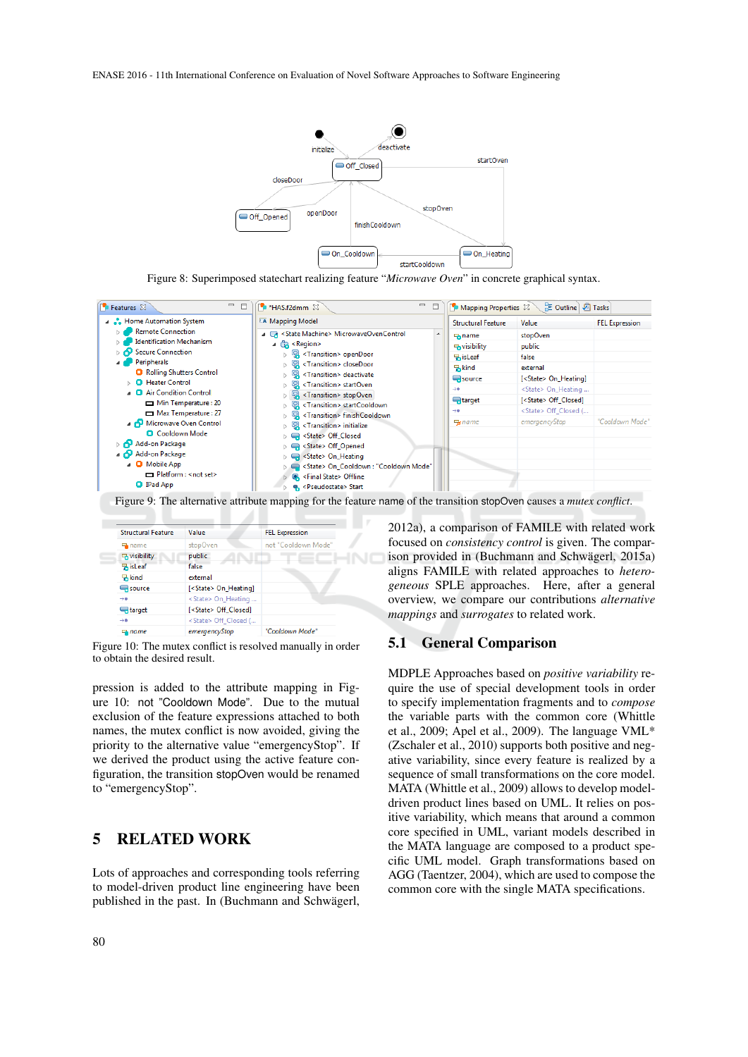ENASE 2016 - 11th International Conference on Evaluation of Novel Software Approaches to Software Engineering



Figure 8: Superimposed statechart realizing feature "*Microwave Oven*" in concrete graphical syntax.



Figure 9: The alternative attribute mapping for the feature name of the transition stopOven causes a *mutex conflict*.

| <b>Structural Feature</b> | Value                         | <b>FEL Expression</b> |
|---------------------------|-------------------------------|-----------------------|
| <b>中</b> name             | stopOven                      | not "Cooldown Mode"   |
| <b>B</b> visibility       | public                        |                       |
| <b>RisLeaf</b>            | false                         |                       |
| 묶kind                     | external                      |                       |
| $\Box$ source             | [ <state> On_Heating]</state> |                       |
| $\rightarrow$             | <state> On Heating </state>   |                       |
| $\Box$ target             | [ <state> Off Closed]</state> |                       |
| $\rightarrow$             | <state> Off Closed (</state>  |                       |
| $F$ name                  | emeraencyStop                 | "Cooldown Mode"       |

A

Figure 10: The mutex conflict is resolved manually in order to obtain the desired result.

pression is added to the attribute mapping in Figure 10: not "Cooldown Mode". Due to the mutual exclusion of the feature expressions attached to both names, the mutex conflict is now avoided, giving the priority to the alternative value "emergencyStop". If we derived the product using the active feature configuration, the transition stopOven would be renamed to "emergencyStop".

## 5 RELATED WORK

Lots of approaches and corresponding tools referring to model-driven product line engineering have been published in the past. In (Buchmann and Schwägerl,

2012a), a comparison of FAMILE with related work focused on *consistency control* is given. The comparison provided in (Buchmann and Schwägerl, 2015a) aligns FAMILE with related approaches to *heterogeneous* SPLE approaches. Here, after a general overview, we compare our contributions *alternative mappings* and *surrogates* to related work.

### 5.1 General Comparison

MDPLE Approaches based on *positive variability* require the use of special development tools in order to specify implementation fragments and to *compose* the variable parts with the common core (Whittle et al., 2009; Apel et al., 2009). The language VML\* (Zschaler et al., 2010) supports both positive and negative variability, since every feature is realized by a sequence of small transformations on the core model. MATA (Whittle et al., 2009) allows to develop modeldriven product lines based on UML. It relies on positive variability, which means that around a common core specified in UML, variant models described in the MATA language are composed to a product specific UML model. Graph transformations based on AGG (Taentzer, 2004), which are used to compose the common core with the single MATA specifications.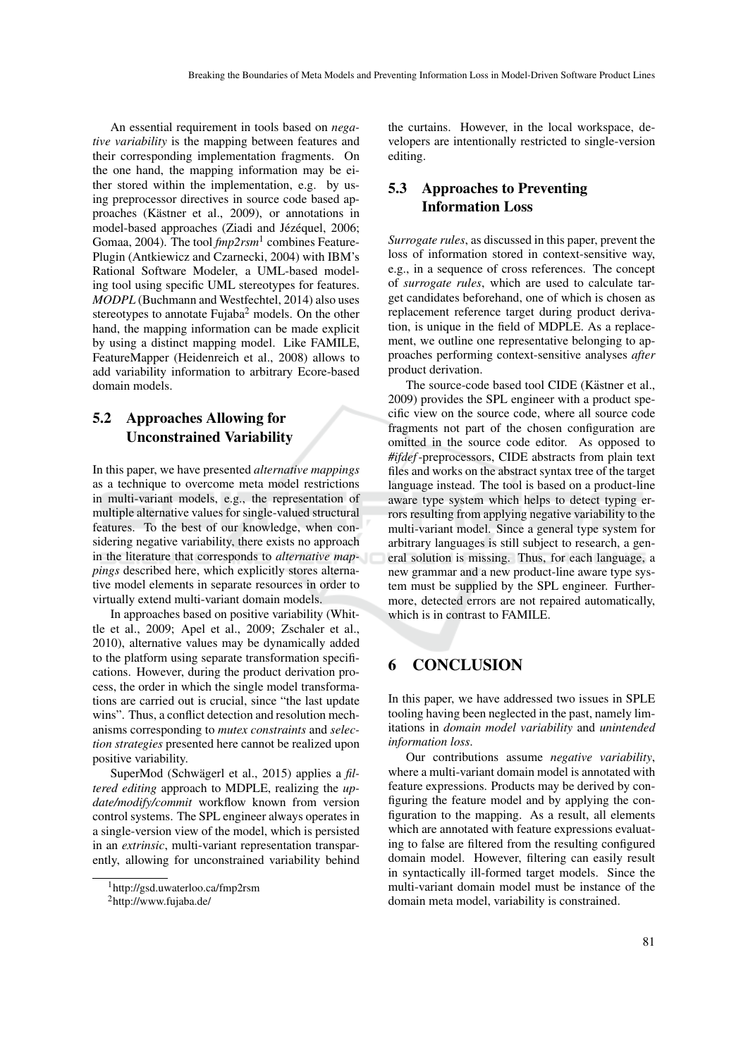An essential requirement in tools based on *negative variability* is the mapping between features and their corresponding implementation fragments. On the one hand, the mapping information may be either stored within the implementation, e.g. by using preprocessor directives in source code based approaches (Kästner et al., 2009), or annotations in model-based approaches (Ziadi and Jézéquel, 2006; Gomaa, 2004). The tool *fmp2rsm*<sup>1</sup> combines Feature-Plugin (Antkiewicz and Czarnecki, 2004) with IBM's Rational Software Modeler, a UML-based modeling tool using specific UML stereotypes for features. *MODPL* (Buchmann and Westfechtel, 2014) also uses stereotypes to annotate Fujaba<sup>2</sup> models. On the other hand, the mapping information can be made explicit by using a distinct mapping model. Like FAMILE, FeatureMapper (Heidenreich et al., 2008) allows to add variability information to arbitrary Ecore-based domain models.

## 5.2 Approaches Allowing for Unconstrained Variability

In this paper, we have presented *alternative mappings* as a technique to overcome meta model restrictions in multi-variant models, e.g., the representation of multiple alternative values for single-valued structural features. To the best of our knowledge, when considering negative variability, there exists no approach in the literature that corresponds to *alternative mappings* described here, which explicitly stores alternative model elements in separate resources in order to virtually extend multi-variant domain models.

In approaches based on positive variability (Whittle et al., 2009; Apel et al., 2009; Zschaler et al., 2010), alternative values may be dynamically added to the platform using separate transformation specifications. However, during the product derivation process, the order in which the single model transformations are carried out is crucial, since "the last update wins". Thus, a conflict detection and resolution mechanisms corresponding to *mutex constraints* and *selection strategies* presented here cannot be realized upon positive variability.

SuperMod (Schwägerl et al., 2015) applies a *filtered editing* approach to MDPLE, realizing the *update/modify/commit* workflow known from version control systems. The SPL engineer always operates in a single-version view of the model, which is persisted in an *extrinsic*, multi-variant representation transparently, allowing for unconstrained variability behind

the curtains. However, in the local workspace, developers are intentionally restricted to single-version editing.

# 5.3 Approaches to Preventing Information Loss

*Surrogate rules*, as discussed in this paper, prevent the loss of information stored in context-sensitive way, e.g., in a sequence of cross references. The concept of *surrogate rules*, which are used to calculate target candidates beforehand, one of which is chosen as replacement reference target during product derivation, is unique in the field of MDPLE. As a replacement, we outline one representative belonging to approaches performing context-sensitive analyses *after* product derivation.

The source-code based tool CIDE (Kästner et al., 2009) provides the SPL engineer with a product specific view on the source code, where all source code fragments not part of the chosen configuration are omitted in the source code editor. As opposed to *#ifdef*-preprocessors, CIDE abstracts from plain text files and works on the abstract syntax tree of the target language instead. The tool is based on a product-line aware type system which helps to detect typing errors resulting from applying negative variability to the multi-variant model. Since a general type system for arbitrary languages is still subject to research, a general solution is missing. Thus, for each language, a new grammar and a new product-line aware type system must be supplied by the SPL engineer. Furthermore, detected errors are not repaired automatically, which is in contrast to FAMILE.

# **CONCLUSION**

In this paper, we have addressed two issues in SPLE tooling having been neglected in the past, namely limitations in *domain model variability* and *unintended information loss*.

Our contributions assume *negative variability*, where a multi-variant domain model is annotated with feature expressions. Products may be derived by configuring the feature model and by applying the configuration to the mapping. As a result, all elements which are annotated with feature expressions evaluating to false are filtered from the resulting configured domain model. However, filtering can easily result in syntactically ill-formed target models. Since the multi-variant domain model must be instance of the domain meta model, variability is constrained.

<sup>1</sup>http://gsd.uwaterloo.ca/fmp2rsm

<sup>2</sup>http://www.fujaba.de/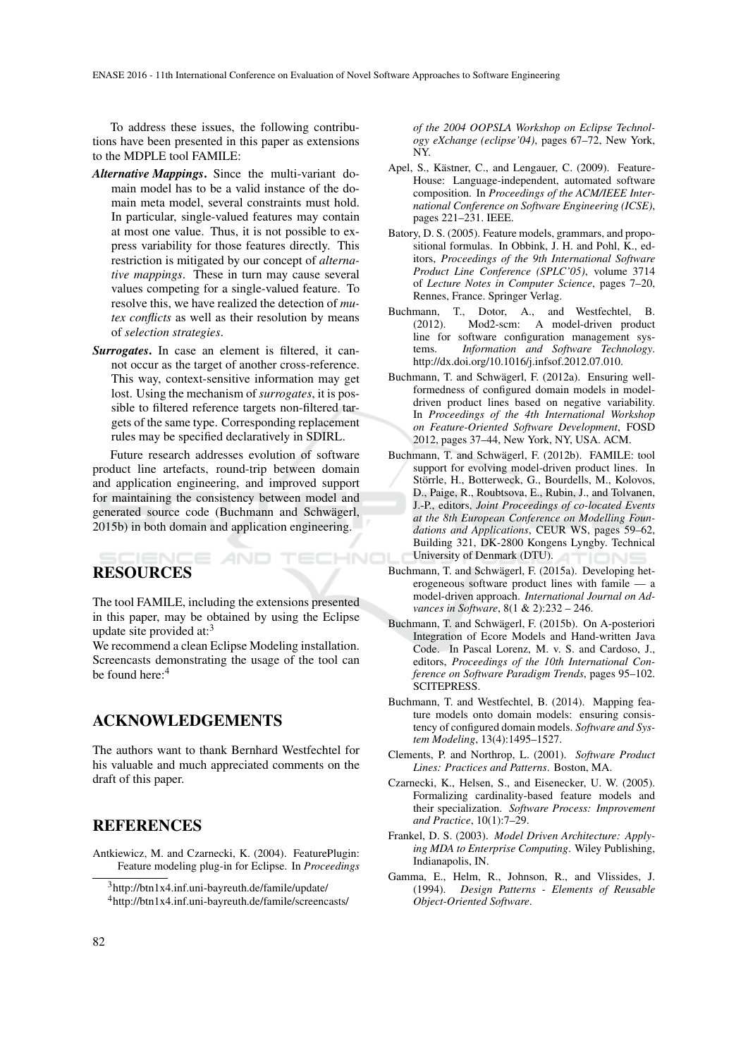To address these issues, the following contributions have been presented in this paper as extensions to the MDPLE tool FAMILE:

- *Alternative Mappings*. Since the multi-variant domain model has to be a valid instance of the domain meta model, several constraints must hold. In particular, single-valued features may contain at most one value. Thus, it is not possible to express variability for those features directly. This restriction is mitigated by our concept of *alternative mappings*. These in turn may cause several values competing for a single-valued feature. To resolve this, we have realized the detection of *mutex conflicts* as well as their resolution by means of *selection strategies*.
- *Surrogates*. In case an element is filtered, it cannot occur as the target of another cross-reference. This way, context-sensitive information may get lost. Using the mechanism of *surrogates*, it is possible to filtered reference targets non-filtered targets of the same type. Corresponding replacement rules may be specified declaratively in SDIRL.

Future research addresses evolution of software product line artefacts, round-trip between domain and application engineering, and improved support for maintaining the consistency between model and generated source code (Buchmann and Schwägerl, 2015b) in both domain and application engineering.

## IENCE *A*ND RESOURCES

The tool FAMILE, including the extensions presented in this paper, may be obtained by using the Eclipse update site provided at:<sup>3</sup>

We recommend a clean Eclipse Modeling installation. Screencasts demonstrating the usage of the tool can be found here:<sup>4</sup>

# ACKNOWLEDGEMENTS

The authors want to thank Bernhard Westfechtel for his valuable and much appreciated comments on the draft of this paper.

## REFERENCES

Antkiewicz, M. and Czarnecki, K. (2004). FeaturePlugin: Feature modeling plug-in for Eclipse. In *Proceedings*

*of the 2004 OOPSLA Workshop on Eclipse Technology eXchange (eclipse'04)*, pages 67–72, New York, NY.

- Apel, S., Kästner, C., and Lengauer, C. (2009). Feature-House: Language-independent, automated software composition. In *Proceedings of the ACM/IEEE International Conference on Software Engineering (ICSE)*, pages 221–231. IEEE.
- Batory, D. S. (2005). Feature models, grammars, and propositional formulas. In Obbink, J. H. and Pohl, K., editors, *Proceedings of the 9th International Software Product Line Conference (SPLC'05)*, volume 3714 of *Lecture Notes in Computer Science*, pages 7–20, Rennes, France. Springer Verlag.
- Buchmann, T., Dotor, A., and Westfechtel, B.<br>(2012). Mod2-scm: A model-driven product Mod2-scm: A model-driven product line for software configuration management systems. *Information and Software Technology*. http://dx.doi.org/10.1016/j.infsof.2012.07.010.
- Buchmann, T. and Schwägerl, F. (2012a). Ensuring wellformedness of configured domain models in modeldriven product lines based on negative variability. In *Proceedings of the 4th International Workshop on Feature-Oriented Software Development*, FOSD 2012, pages 37–44, New York, NY, USA. ACM.
- Buchmann, T. and Schwägerl, F. (2012b). FAMILE: tool support for evolving model-driven product lines. In Störrle, H., Botterweck, G., Bourdells, M., Kolovos, D., Paige, R., Roubtsova, E., Rubin, J., and Tolvanen, J.-P., editors, *Joint Proceedings of co-located Events at the 8th European Conference on Modelling Foundations and Applications*, CEUR WS, pages 59–62, Building 321, DK-2800 Kongens Lyngby. Technical University of Denmark (DTU). TECHNO
	- Buchmann, T. and Schwägerl, F. (2015a). Developing heterogeneous software product lines with famile — a model-driven approach. *International Journal on Advances in Software*, 8(1 & 2):232 – 246.
	- Buchmann, T. and Schwägerl, F. (2015b). On A-posteriori Integration of Ecore Models and Hand-written Java Code. In Pascal Lorenz, M. v. S. and Cardoso, J., editors, *Proceedings of the 10th International Conference on Software Paradigm Trends*, pages 95–102. SCITEPRESS.
	- Buchmann, T. and Westfechtel, B. (2014). Mapping feature models onto domain models: ensuring consistency of configured domain models. *Software and System Modeling*, 13(4):1495–1527.
	- Clements, P. and Northrop, L. (2001). *Software Product Lines: Practices and Patterns*. Boston, MA.
	- Czarnecki, K., Helsen, S., and Eisenecker, U. W. (2005). Formalizing cardinality-based feature models and their specialization. *Software Process: Improvement and Practice*, 10(1):7–29.
	- Frankel, D. S. (2003). *Model Driven Architecture: Applying MDA to Enterprise Computing*. Wiley Publishing, Indianapolis, IN.
	- Gamma, E., Helm, R., Johnson, R., and Vlissides, J. (1994). *Design Patterns - Elements of Reusable Object-Oriented Software*.

 $3$ http://btn1x4.inf.uni-bayreuth.de/famile/update/ <sup>4</sup>http://btn1x4.inf.uni-bayreuth.de/famile/screencasts/